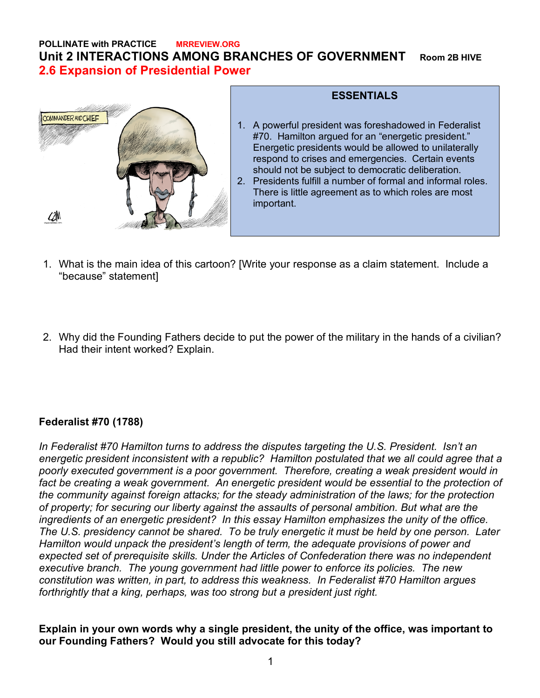#### **POLLINATE with PRACTICE MRREVIEW.ORG Unit 2 INTERACTIONS AMONG BRANCHES OF GOVERNMENT Room 2B HIVE 2.6 Expansion of Presidential Power**



#### **ESSENTIALS**

- 1. A powerful president was foreshadowed in Federalist #70. Hamilton argued for an "energetic president." Energetic presidents would be allowed to unilaterally respond to crises and emergencies. Certain events should not be subject to democratic deliberation. 2. Presidents fulfill a number of formal and informal roles.
	- There is little agreement as to which roles are most important.
- 1. What is the main idea of this cartoon? [Write your response as a claim statement. Include a "because" statement]
- 2. Why did the Founding Fathers decide to put the power of the military in the hands of a civilian? Had their intent worked? Explain.

## **Federalist #70 (1788)**

*In Federalist #70 Hamilton turns to address the disputes targeting the U.S. President. Isn't an energetic president inconsistent with a republic? Hamilton postulated that we all could agree that a poorly executed government is a poor government. Therefore, creating a weak president would in*  fact be creating a weak government. An energetic president would be essential to the protection of *the community against foreign attacks; for the steady administration of the laws; for the protection of property; for securing our liberty against the assaults of personal ambition. But what are the ingredients of an energetic president? In this essay Hamilton emphasizes the unity of the office. The U.S. presidency cannot be shared. To be truly energetic it must be held by one person. Later Hamilton would unpack the president's length of term, the adequate provisions of power and expected set of prerequisite skills. Under the Articles of Confederation there was no independent executive branch. The young government had little power to enforce its policies. The new constitution was written, in part, to address this weakness. In Federalist #70 Hamilton argues forthrightly that a king, perhaps, was too strong but a president just right.*

**Explain in your own words why a single president, the unity of the office, was important to our Founding Fathers? Would you still advocate for this today?**